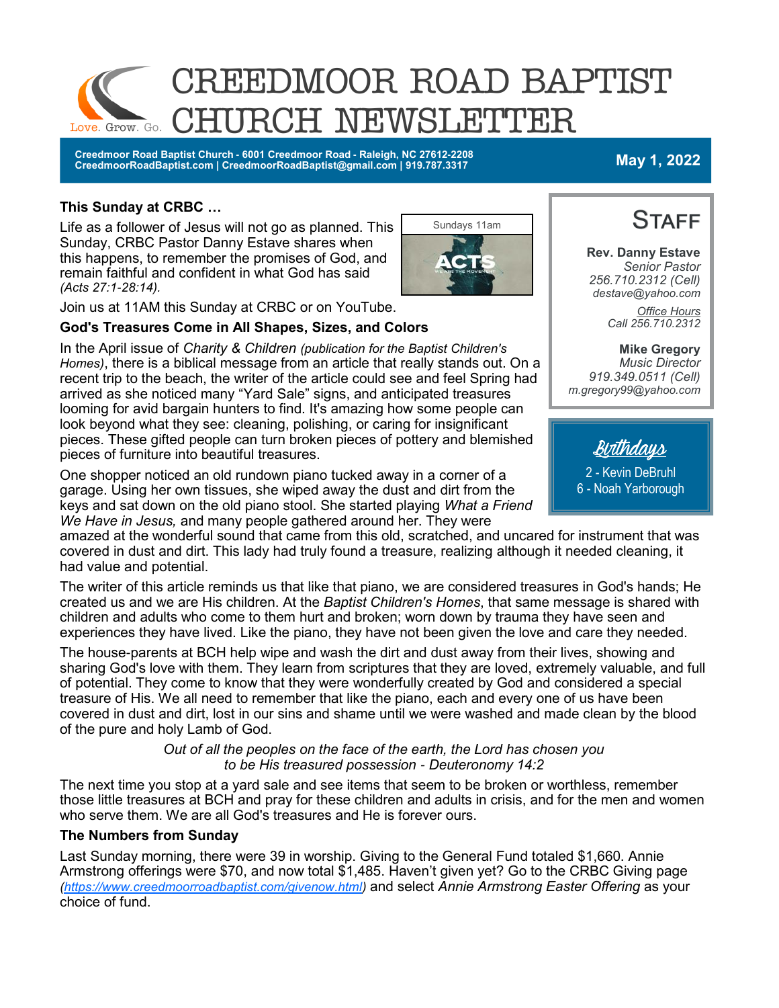

**Creedmoor Road Baptist Church - 6001 Creedmoor Road - Raleigh, NC 27612-2208 CreedmoorRoadBaptist.com | CreedmoorRoadBaptist@gmail.com | 919.787.3317 May 1, 2022**

### **This Sunday at CRBC …**

Life as a follower of Jesus will not go as planned. This Sunday, CRBC Pastor Danny Estave shares when this happens, to remember the promises of God, and remain faithful and confident in what God has said *(Acts 27:1-28:14).*



Join us at 11AM this Sunday at CRBC or on YouTube.

#### **God's Treasures Come in All Shapes, Sizes, and Colors**

In the April issue of *Charity & Children (publication for the Baptist Children's Homes)*, there is a biblical message from an article that really stands out. On a recent trip to the beach, the writer of the article could see and feel Spring had arrived as she noticed many "Yard Sale" signs, and anticipated treasures looming for avid bargain hunters to find. It's amazing how some people can look beyond what they see: cleaning, polishing, or caring for insignificant pieces. These gifted people can turn broken pieces of pottery and blemished pieces of furniture into beautiful treasures.

One shopper noticed an old rundown piano tucked away in a corner of a garage. Using her own tissues, she wiped away the dust and dirt from the keys and sat down on the old piano stool. She started playing *What a Friend We Have in Jesus,* and many people gathered around her. They were

amazed at the wonderful sound that came from this old, scratched, and uncared for instrument that was covered in dust and dirt. This lady had truly found a treasure, realizing although it needed cleaning, it had value and potential.

The writer of this article reminds us that like that piano, we are considered treasures in God's hands; He created us and we are His children. At the *Baptist Children's Homes*, that same message is shared with children and adults who come to them hurt and broken; worn down by trauma they have seen and experiences they have lived. Like the piano, they have not been given the love and care they needed.

The house-parents at BCH help wipe and wash the dirt and dust away from their lives, showing and sharing God's love with them. They learn from scriptures that they are loved, extremely valuable, and full of potential. They come to know that they were wonderfully created by God and considered a special treasure of His. We all need to remember that like the piano, each and every one of us have been covered in dust and dirt, lost in our sins and shame until we were washed and made clean by the blood of the pure and holy Lamb of God.

> *Out of all the peoples on the face of the earth, the Lord has chosen you to be His treasured possession - Deuteronomy 14:2*

The next time you stop at a yard sale and see items that seem to be broken or worthless, remember those little treasures at BCH and pray for these children and adults in crisis, and for the men and women who serve them. We are all God's treasures and He is forever ours.

#### **The Numbers from Sunday**

Last Sunday morning, there were 39 in worship. Giving to the General Fund totaled \$1,660. Annie Armstrong offerings were \$70, and now total \$1,485. Haven't given yet? Go to the CRBC Giving page *[\(https://www.creedmoorroadbaptist.com/givenow.html\)](https://www.creedmoorroadbaptist.com/givenow.html)* and select *Annie Armstrong Easter Offering* as your choice of fund.



**Rev. Danny Estave** *Senior Pastor 256.710.2312 (Cell) destave@yahoo.com Office Hours Call 256.710.2312* 

**Mike Gregory** *Music Director 919.349.0511 (Cell) m.gregory99@yahoo.com* 

Birthdays

2 - Kevin DeBruhl 6 - Noah Yarborough